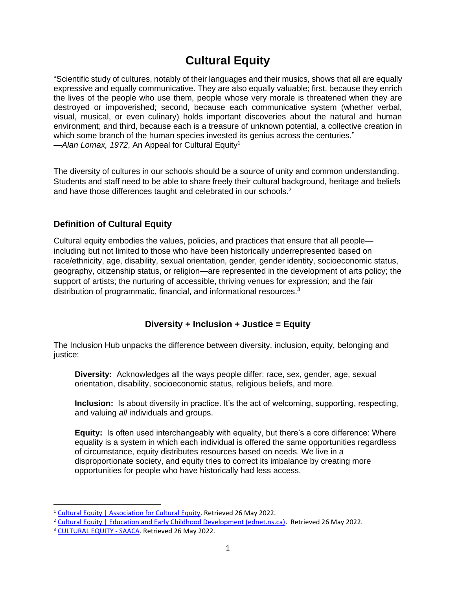# **Cultural Equity**

"Scientific study of cultures, notably of their languages and their musics, shows that all are equally expressive and equally communicative. They are also equally valuable; first, because they enrich the lives of the people who use them, people whose very morale is threatened when they are destroyed or impoverished; second, because each communicative system (whether verbal, visual, musical, or even culinary) holds important discoveries about the natural and human environment; and third, because each is a treasure of unknown potential, a collective creation in which some branch of the human species invested its genius across the centuries." -Alan Lomax, 1972, An Appeal for Cultural Equity<sup>1</sup>

The diversity of cultures in our schools should be a source of unity and common understanding. Students and staff need to be able to share freely their cultural background, heritage and beliefs and have those differences taught and celebrated in our schools.<sup>2</sup>

# **Definition of Cultural Equity**

Cultural equity embodies the values, policies, and practices that ensure that all people including but not limited to those who have been historically underrepresented based on race/ethnicity, age, disability, sexual orientation, gender, gender identity, socioeconomic status, geography, citizenship status, or religion—are represented in the development of arts policy; the support of artists; the nurturing of accessible, thriving venues for expression; and the fair distribution of programmatic, financial, and informational resources.<sup>3</sup>

# **Diversity + Inclusion + Justice = Equity**

The Inclusion Hub unpacks the difference between diversity, inclusion, equity, belonging and justice:

**Diversity:** Acknowledges all the ways people differ: race, sex, gender, age, sexual orientation, disability, socioeconomic status, religious beliefs, and more.

**Inclusion:** Is about diversity in practice. It's the act of welcoming, supporting, respecting, and valuing *all* individuals and groups.

**Equity:** Is often used interchangeably with equality, but there's a core difference: Where equality is a system in which each individual is offered the same opportunities regardless of circumstance, equity distributes resources based on needs. We live in a disproportionate society, and equity tries to correct its imbalance by creating more opportunities for people who have historically had less access.

<sup>&</sup>lt;sup>1</sup> Cultural Equity | Association for Cultural Equity. Retrieved 26 May 2022.

<sup>&</sup>lt;sup>2</sup> Cultural Equity | Education and Early Childhood Development (ednet.ns.ca). Retrieved 26 May 2022.

<sup>3</sup> CULTURAL EQUITY - SAACA. Retrieved 26 May 2022.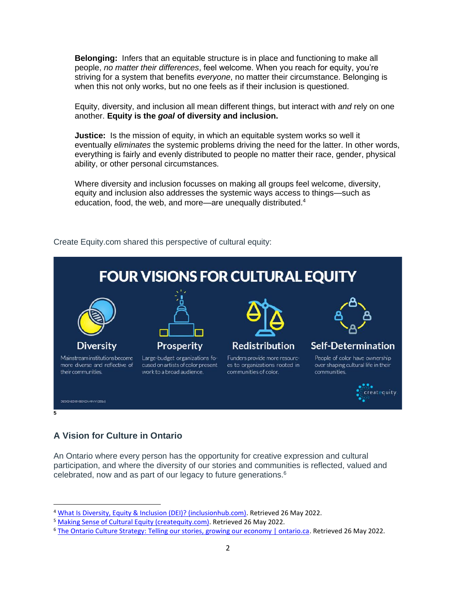**Belonging:** Infers that an equitable structure is in place and functioning to make all people, *no matter their differences*, feel welcome. When you reach for equity, you're striving for a system that benefits *everyone*, no matter their circumstance. Belonging is when this not only works, but no one feels as if their inclusion is questioned.

Equity, diversity, and inclusion all mean different things, but interact with *and* rely on one another. **Equity is the** *goal* **of diversity and inclusion.**

**Justice:** Is the mission of equity, in which an equitable system works so well it eventually *eliminates* the systemic problems driving the need for the latter. In other words, everything is fairly and evenly distributed to people no matter their race, gender, physical ability, or other personal circumstances.

Where diversity and inclusion focusses on making all groups feel welcome, diversity, equity and inclusion also addresses the systemic ways access to things—such as education, food, the web, and more—are unequally distributed.<sup>4</sup>



Create Equity.com shared this perspective of cultural equity:

# **A Vision for Culture in Ontario**

An Ontario where every person has the opportunity for creative expression and cultural participation, and where the diversity of our stories and communities is reflected, valued and celebrated, now and as part of our legacy to future generations.<sup>6</sup>

<sup>4</sup> What Is Diversity, Equity & Inclusion (DEI)? (inclusionhub.com). Retrieved 26 May 2022.

<sup>5</sup> Making Sense of Cultural Equity (createquity.com). Retrieved 26 May 2022.

<sup>6</sup> The Ontario Culture Strategy: Telling our stories, growing our economy | ontario.ca. Retrieved 26 May 2022.